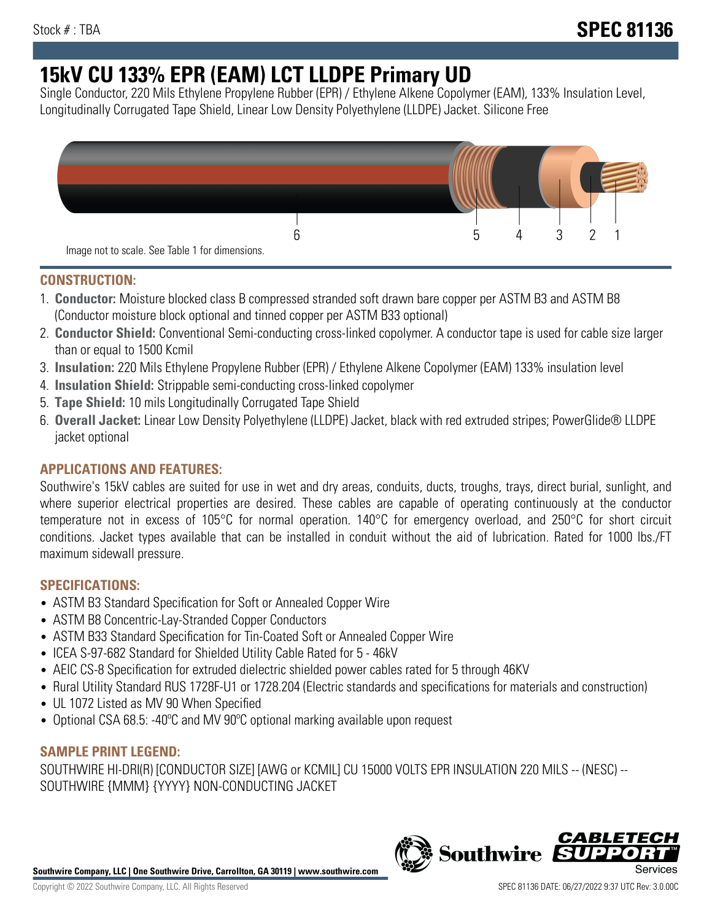# **15kV CU 133% EPR (EAM) LCT LLDPE Primary UD**

Single Conductor, 220 Mils Ethylene Propylene Rubber (EPR) / Ethylene Alkene Copolymer (EAM), 133% Insulation Level, Longitudinally Corrugated Tape Shield, Linear Low Density Polyethylene (LLDPE) Jacket. Silicone Free



## **CONSTRUCTION:**

- 1. **Conductor:** Moisture blocked class B compressed stranded soft drawn bare copper per ASTM B3 and ASTM B8 (Conductor moisture block optional and tinned copper per ASTM B33 optional)
- 2. **Conductor Shield:** Conventional Semi-conducting cross-linked copolymer. A conductor tape is used for cable size larger than or equal to 1500 Kcmil
- 3. **Insulation:** 220 Mils Ethylene Propylene Rubber (EPR) / Ethylene Alkene Copolymer (EAM) 133% insulation level
- 4. **Insulation Shield:** Strippable semi-conducting cross-linked copolymer
- 5. **Tape Shield:** 10 mils Longitudinally Corrugated Tape Shield
- 6. **Overall Jacket:** Linear Low Density Polyethylene (LLDPE) Jacket, black with red extruded stripes; PowerGlide® LLDPE jacket optional

# **APPLICATIONS AND FEATURES:**

Southwire's 15kV cables are suited for use in wet and dry areas, conduits, ducts, troughs, trays, direct burial, sunlight, and where superior electrical properties are desired. These cables are capable of operating continuously at the conductor temperature not in excess of 105°C for normal operation. 140°C for emergency overload, and 250°C for short circuit conditions. Jacket types available that can be installed in conduit without the aid of lubrication. Rated for 1000 lbs./FT maximum sidewall pressure.

# **SPECIFICATIONS:**

- ASTM B3 Standard Specification for Soft or Annealed Copper Wire
- ASTM B8 Concentric-Lay-Stranded Copper Conductors
- ASTM B33 Standard Specification for Tin-Coated Soft or Annealed Copper Wire
- ICEA S-97-682 Standard for Shielded Utility Cable Rated for 5 46kV
- AEIC CS-8 Specification for extruded dielectric shielded power cables rated for 5 through 46KV
- Rural Utility Standard RUS 1728F-U1 or 1728.204 (Electric standards and specifications for materials and construction)
- UL 1072 Listed as MV 90 When Specified
- Optional CSA 68.5: -40ºC and MV 90ºC optional marking available upon request

### **SAMPLE PRINT LEGEND:**

SOUTHWIRE HI-DRI(R) [CONDUCTOR SIZE] [AWG or KCMIL] CU 15000 VOLTS EPR INSULATION 220 MILS -- (NESC) -- SOUTHWIRE {MMM} {YYYY} NON-CONDUCTING JACKET

**Southwire Company, LLC | One Southwire Drive, Carrollton, GA 30119 | www.southwire.com**